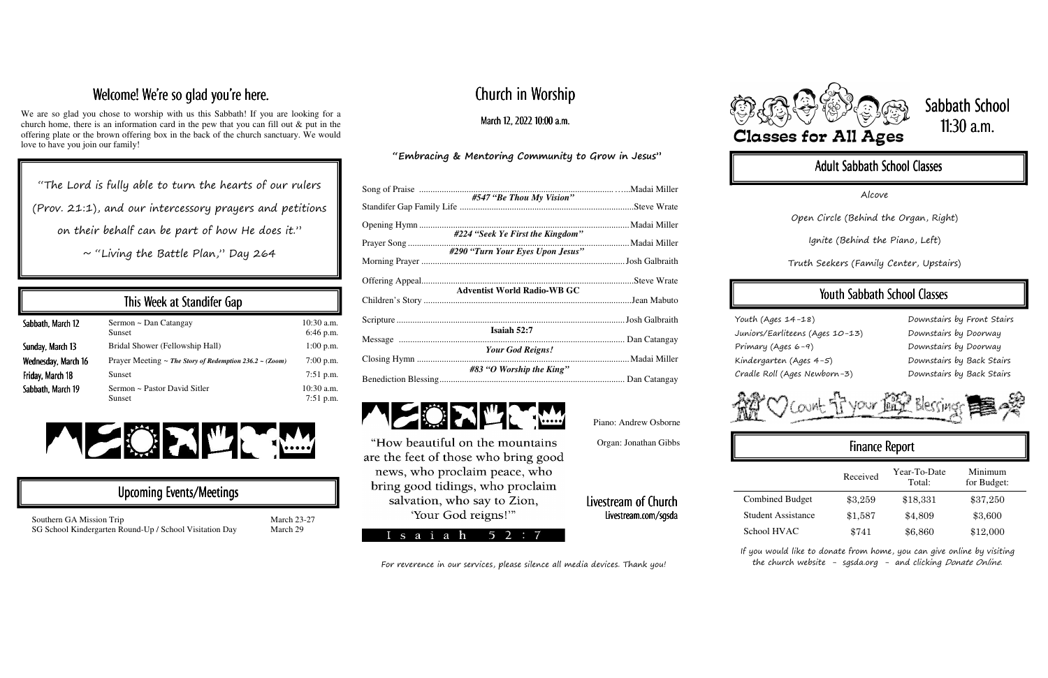# Church in Worship

March 12, 2022 10:00 a.m.

#### "Embracing & Mentoring Community to Grow in Jesus"

| #547 "Be Thou My Vision"           |  |
|------------------------------------|--|
|                                    |  |
|                                    |  |
|                                    |  |
| #290 "Turn Your Eyes Upon Jesus"   |  |
|                                    |  |
|                                    |  |
| <b>Adventist World Radio-WB GC</b> |  |
|                                    |  |
|                                    |  |
|                                    |  |
| Isaiah 52:7                        |  |
| <b>Your God Reigns!</b>            |  |
|                                    |  |
| #83 "O Worship the King"           |  |
|                                    |  |

If you would like to donate from home, you can give online by visiting the church website - sgsda.org - and clicking Donate Online.

Southern GA Mission Trip March 23-27 SG School Kindergarten Round-Up / School Visitation Day March 29

## Welcome! We're so glad you're here.

We are so glad you chose to worship with us this Sabbath! If you are looking for a church home, there is an information card in the pew that you can fill out & put in the offering plate or the brown offering box in the back of the church sanctuary. We would love to have you join our family!

#### Livestream of Church Livestream.com/sgsda Livestream.com/sgsda







# Sabbath School 11:30  $a.m.$

### Adult Sabbath School Classes

"The Lord is fully able to turn the hearts of our rulers (Prov. 21:1), and our intercessory prayers and petitions on their behalf can be part of how He does it."

 $\sim$  "Living the Battle Plan," Day 264

|                           | Received | Year-To-Date<br>Total: | Minimum<br>for Budget: |
|---------------------------|----------|------------------------|------------------------|
| <b>Combined Budget</b>    | \$3,259  | \$18,331               | \$37,250               |
| <b>Student Assistance</b> | \$1,587  | \$4,809                | \$3,600                |
| School HVAC               | \$741    | \$6,860                | \$12,000               |

| This Week at Standifer Gap |                                                                   |                             |  |  |
|----------------------------|-------------------------------------------------------------------|-----------------------------|--|--|
| Sabbath, March 12          | Sermon ~ Dan Catangay<br><b>Sunset</b>                            | $10:30$ a.m.<br>6:46 p.m.   |  |  |
| Sunday, March 13           | Bridal Shower (Fellowship Hall)                                   | $1:00$ p.m.                 |  |  |
| Wednesday, March 16        | Prayer Meeting $\sim$ The Story of Redemption 236.2 $\sim$ (Zoom) | $7:00$ p.m.                 |  |  |
| Friday, March 18           | <b>Sunset</b>                                                     | $7:51$ p.m.                 |  |  |
| Sabbath, March 19          | Sermon ~ Pastor David Sitler<br>Sunset                            | $10:30$ a.m.<br>$7:51$ p.m. |  |  |



#### Upcoming Events/Meetings

Alcove

Open Circle (Behind the Organ, Right)

Ignite (Behind the Piano, Left)

Truth Seekers (Family Center, Upstairs)

### Youth Sabbath School Classes

Youth (Ages 14-18) Juniors/Earliteens (Ages 10-13) Primary (Ages 6-9) Kindergarten (Ages 4-5) Cradle Roll (Ages Newborn-3)

Downstairs by Front Stairs Downstairs by Doorway Downstairs by Doorway Downstairs by Back Stairs Downstairs by Back Stairs



### Finance Report

Piano: Andrew Osborne Organ: Jonathan Gibbs

For reverence in our services, please silence all media devices. Thank you!



"How beautiful on the mountains are the feet of those who bring good news, who proclaim peace, who bring good tidings, who proclaim salvation, who say to Zion, 'Your God reigns!"

 $s$  a i a h 52: